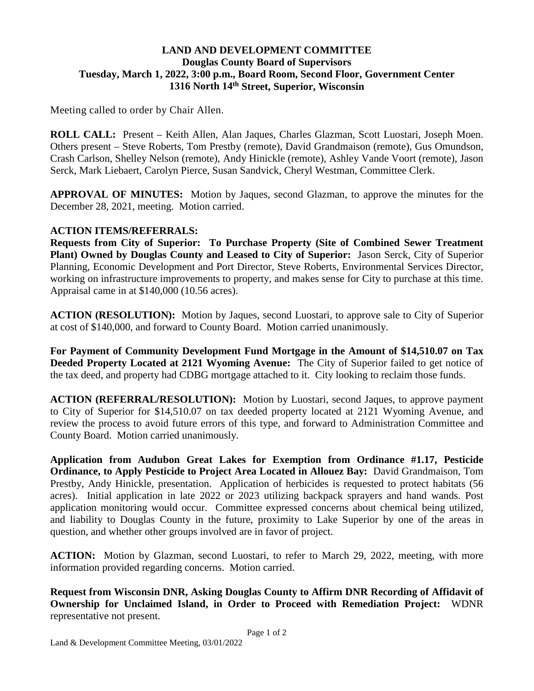## **LAND AND DEVELOPMENT COMMITTEE Douglas County Board of Supervisors Tuesday, March 1, 2022, 3:00 p.m., Board Room, Second Floor, Government Center 1316 North 14th Street, Superior, Wisconsin**

Meeting called to order by Chair Allen.

**ROLL CALL:** Present – Keith Allen, Alan Jaques, Charles Glazman, Scott Luostari, Joseph Moen. Others present – Steve Roberts, Tom Prestby (remote), David Grandmaison (remote), Gus Omundson, Crash Carlson, Shelley Nelson (remote), Andy Hinickle (remote), Ashley Vande Voort (remote), Jason Serck, Mark Liebaert, Carolyn Pierce, Susan Sandvick, Cheryl Westman, Committee Clerk.

**APPROVAL OF MINUTES:** Motion by Jaques, second Glazman, to approve the minutes for the December 28, 2021, meeting. Motion carried.

## **ACTION ITEMS/REFERRALS:**

**Requests from City of Superior: To Purchase Property (Site of Combined Sewer Treatment Plant) Owned by Douglas County and Leased to City of Superior:** Jason Serck, City of Superior Planning, Economic Development and Port Director, Steve Roberts, Environmental Services Director, working on infrastructure improvements to property, and makes sense for City to purchase at this time. Appraisal came in at \$140,000 (10.56 acres).

**ACTION (RESOLUTION):** Motion by Jaques, second Luostari, to approve sale to City of Superior at cost of \$140,000, and forward to County Board. Motion carried unanimously.

**For Payment of Community Development Fund Mortgage in the Amount of \$14,510.07 on Tax Deeded Property Located at 2121 Wyoming Avenue:** The City of Superior failed to get notice of the tax deed, and property had CDBG mortgage attached to it. City looking to reclaim those funds.

**ACTION (REFERRAL/RESOLUTION):** Motion by Luostari, second Jaques, to approve payment to City of Superior for \$14,510.07 on tax deeded property located at 2121 Wyoming Avenue, and review the process to avoid future errors of this type, and forward to Administration Committee and County Board. Motion carried unanimously.

**Application from Audubon Great Lakes for Exemption from Ordinance #1.17, Pesticide Ordinance, to Apply Pesticide to Project Area Located in Allouez Bay:** David Grandmaison, Tom Prestby, Andy Hinickle, presentation. Application of herbicides is requested to protect habitats (56 acres). Initial application in late 2022 or 2023 utilizing backpack sprayers and hand wands. Post application monitoring would occur. Committee expressed concerns about chemical being utilized, and liability to Douglas County in the future, proximity to Lake Superior by one of the areas in question, and whether other groups involved are in favor of project.

**ACTION:** Motion by Glazman, second Luostari, to refer to March 29, 2022, meeting, with more information provided regarding concerns. Motion carried.

**Request from Wisconsin DNR, Asking Douglas County to Affirm DNR Recording of Affidavit of Ownership for Unclaimed Island, in Order to Proceed with Remediation Project:** WDNR representative not present.